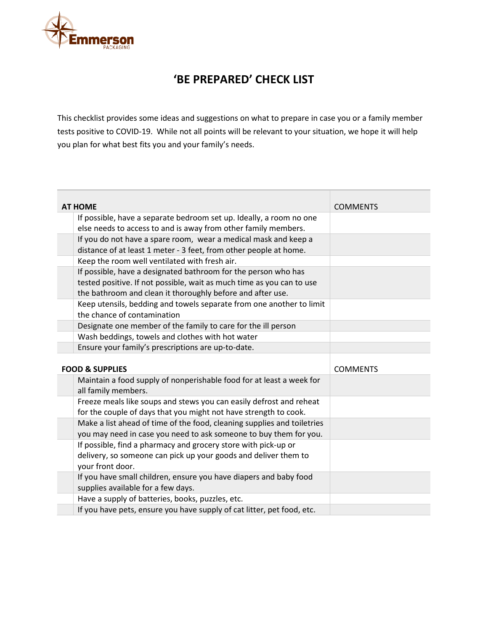

## **'BE PREPARED' CHECK LIST**

This checklist provides some ideas and suggestions on what to prepare in case you or a family member tests positive to COVID-19. While not all points will be relevant to your situation, we hope it will help you plan for what best fits you and your family's needs.

| <b>AT HOME</b> |                                                                         | <b>COMMENTS</b> |
|----------------|-------------------------------------------------------------------------|-----------------|
|                | If possible, have a separate bedroom set up. Ideally, a room no one     |                 |
|                | else needs to access to and is away from other family members.          |                 |
|                | If you do not have a spare room, wear a medical mask and keep a         |                 |
|                | distance of at least 1 meter - 3 feet, from other people at home.       |                 |
|                | Keep the room well ventilated with fresh air.                           |                 |
|                | If possible, have a designated bathroom for the person who has          |                 |
|                | tested positive. If not possible, wait as much time as you can to use   |                 |
|                | the bathroom and clean it thoroughly before and after use.              |                 |
|                | Keep utensils, bedding and towels separate from one another to limit    |                 |
|                | the chance of contamination                                             |                 |
|                | Designate one member of the family to care for the ill person           |                 |
|                | Wash beddings, towels and clothes with hot water                        |                 |
|                | Ensure your family's prescriptions are up-to-date.                      |                 |
|                |                                                                         |                 |
|                |                                                                         |                 |
|                | <b>FOOD &amp; SUPPLIES</b>                                              | <b>COMMENTS</b> |
|                | Maintain a food supply of nonperishable food for at least a week for    |                 |
|                | all family members.                                                     |                 |
|                | Freeze meals like soups and stews you can easily defrost and reheat     |                 |
|                | for the couple of days that you might not have strength to cook.        |                 |
|                | Make a list ahead of time of the food, cleaning supplies and toiletries |                 |
|                | you may need in case you need to ask someone to buy them for you.       |                 |
|                | If possible, find a pharmacy and grocery store with pick-up or          |                 |
|                | delivery, so someone can pick up your goods and deliver them to         |                 |
|                | your front door.                                                        |                 |
|                | If you have small children, ensure you have diapers and baby food       |                 |
|                | supplies available for a few days.                                      |                 |
|                | Have a supply of batteries, books, puzzles, etc.                        |                 |